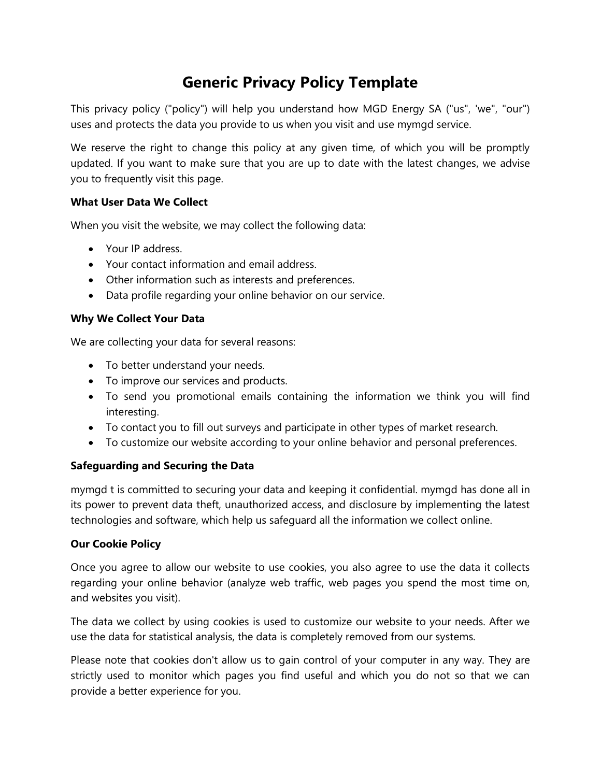# **Generic Privacy Policy Template**

This privacy policy ("policy") will help you understand how MGD Energy SA ("us", 'we", "our") uses and protects the data you provide to us when you visit and use mymgd service.

We reserve the right to change this policy at any given time, of which you will be promptly updated. If you want to make sure that you are up to date with the latest changes, we advise you to frequently visit this page.

## **What User Data We Collect**

When you visit the website, we may collect the following data:

- Your IP address.
- Your contact information and email address.
- Other information such as interests and preferences.
- Data profile regarding your online behavior on our service.

## **Why We Collect Your Data**

We are collecting your data for several reasons:

- To better understand your needs.
- To improve our services and products.
- To send you promotional emails containing the information we think you will find interesting.
- To contact you to fill out surveys and participate in other types of market research.
- To customize our website according to your online behavior and personal preferences.

# **Safeguarding and Securing the Data**

mymgd t is committed to securing your data and keeping it confidential. mymgd has done all in its power to prevent data theft, unauthorized access, and disclosure by implementing the latest technologies and software, which help us safeguard all the information we collect online.

#### **Our Cookie Policy**

Once you agree to allow our website to use cookies, you also agree to use the data it collects regarding your online behavior (analyze web traffic, web pages you spend the most time on, and websites you visit).

The data we collect by using cookies is used to customize our website to your needs. After we use the data for statistical analysis, the data is completely removed from our systems.

Please note that cookies don't allow us to gain control of your computer in any way. They are strictly used to monitor which pages you find useful and which you do not so that we can provide a better experience for you.